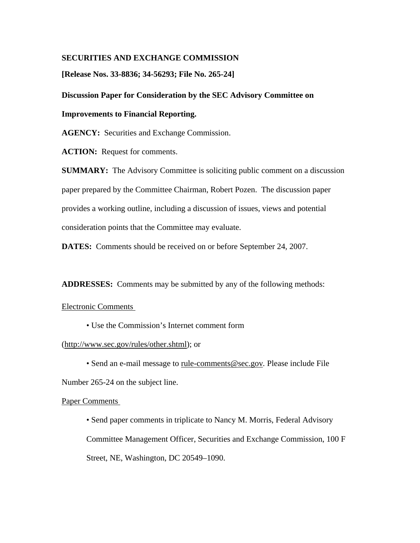# **SECURITIES AND EXCHANGE COMMISSION**

**[Release Nos. 33-8836; 34-56293; File No. 265-24]** 

# **Discussion Paper for Consideration by the SEC Advisory Committee on**

# **Improvements to Financial Reporting.**

**AGENCY:** Securities and Exchange Commission.

**ACTION:** Request for comments.

**SUMMARY:** The Advisory Committee is soliciting public comment on a discussion paper prepared by the Committee Chairman, Robert Pozen. The discussion paper provides a working outline, including a discussion of issues, views and potential consideration points that the Committee may evaluate.

**DATES:** Comments should be received on or before September 24, 2007.

**ADDRESSES:** Comments may be submitted by any of the following methods:

## Electronic Comments

• Use the Commission's Internet comment form

## (http://www.sec.gov/rules/other.shtml); or

• Send an e-mail message to rule-comments@sec.gov*.* Please include File Number 265-24 on the subject line.

### Paper Comments

• Send paper comments in triplicate to Nancy M. Morris, Federal Advisory Committee Management Officer, Securities and Exchange Commission, 100 F Street, NE, Washington, DC 20549–1090.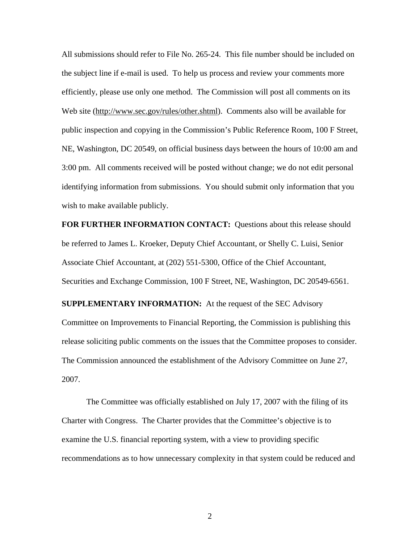All submissions should refer to File No. 265-24. This file number should be included on the subject line if e-mail is used. To help us process and review your comments more efficiently, please use only one method. The Commission will post all comments on its Web site (http://www.sec.gov/rules/other.shtml). Comments also will be available for public inspection and copying in the Commission's Public Reference Room, 100 F Street, NE, Washington, DC 20549, on official business days between the hours of 10:00 am and 3:00 pm. All comments received will be posted without change; we do not edit personal identifying information from submissions. You should submit only information that you wish to make available publicly.

**FOR FURTHER INFORMATION CONTACT:** Questions about this release should be referred to James L. Kroeker, Deputy Chief Accountant, or Shelly C. Luisi, Senior Associate Chief Accountant, at (202) 551-5300, Office of the Chief Accountant, Securities and Exchange Commission, 100 F Street, NE, Washington, DC 20549-6561.

**SUPPLEMENTARY INFORMATION:** At the request of the SEC Advisory Committee on Improvements to Financial Reporting, the Commission is publishing this release soliciting public comments on the issues that the Committee proposes to consider. The Commission announced the establishment of the Advisory Committee on June 27, 2007.

The Committee was officially established on July 17, 2007 with the filing of its Charter with Congress. The Charter provides that the Committee's objective is to examine the U.S. financial reporting system, with a view to providing specific recommendations as to how unnecessary complexity in that system could be reduced and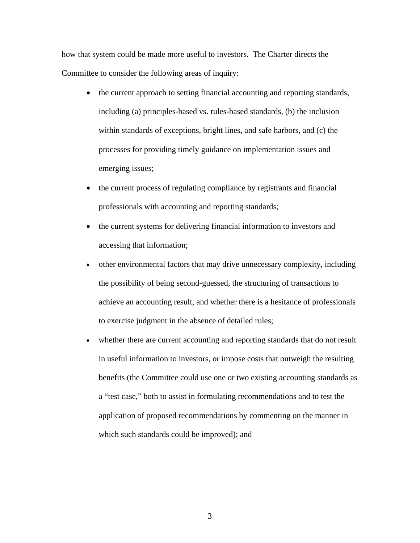how that system could be made more useful to investors. The Charter directs the Committee to consider the following areas of inquiry:

- the current approach to setting financial accounting and reporting standards, including (a) principles-based vs. rules-based standards, (b) the inclusion within standards of exceptions, bright lines, and safe harbors, and (c) the processes for providing timely guidance on implementation issues and emerging issues;
- the current process of regulating compliance by registrants and financial professionals with accounting and reporting standards;
- the current systems for delivering financial information to investors and accessing that information;
- other environmental factors that may drive unnecessary complexity, including the possibility of being second-guessed, the structuring of transactions to achieve an accounting result, and whether there is a hesitance of professionals to exercise judgment in the absence of detailed rules;
- whether there are current accounting and reporting standards that do not result in useful information to investors, or impose costs that outweigh the resulting benefits (the Committee could use one or two existing accounting standards as a "test case," both to assist in formulating recommendations and to test the application of proposed recommendations by commenting on the manner in which such standards could be improved); and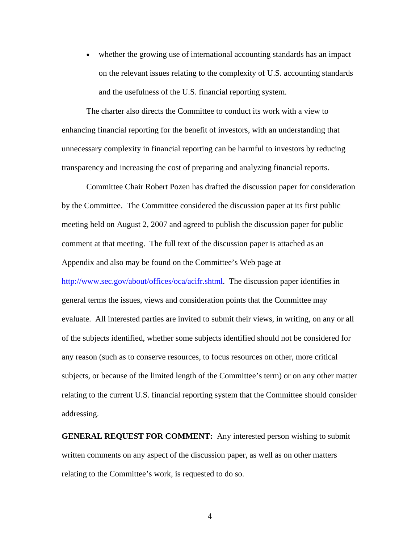• whether the growing use of international accounting standards has an impact on the relevant issues relating to the complexity of U.S. accounting standards and the usefulness of the U.S. financial reporting system.

The charter also directs the Committee to conduct its work with a view to enhancing financial reporting for the benefit of investors, with an understanding that unnecessary complexity in financial reporting can be harmful to investors by reducing transparency and increasing the cost of preparing and analyzing financial reports.

Committee Chair Robert Pozen has drafted the discussion paper for consideration by the Committee. The Committee considered the discussion paper at its first public meeting held on August 2, 2007 and agreed to publish the discussion paper for public comment at that meeting. The full text of the discussion paper is attached as an Appendix and also may be found on the Committee's Web page at http://www.sec.gov/about/offices/oca/acifr.shtml. The discussion paper identifies in general terms the issues, views and consideration points that the Committee may evaluate. All interested parties are invited to submit their views, in writing, on any or all of the subjects identified, whether some subjects identified should not be considered for any reason (such as to conserve resources, to focus resources on other, more critical subjects, or because of the limited length of the Committee's term) or on any other matter relating to the current U.S. financial reporting system that the Committee should consider addressing.

**GENERAL REQUEST FOR COMMENT:** Any interested person wishing to submit written comments on any aspect of the discussion paper, as well as on other matters relating to the Committee's work, is requested to do so.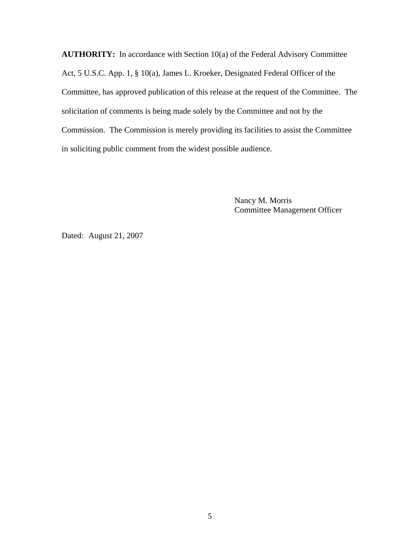**AUTHORITY:** In accordance with Section 10(a) of the Federal Advisory Committee Act, 5 U.S.C. App. 1, § 10(a), James L. Kroeker, Designated Federal Officer of the Committee, has approved publication of this release at the request of the Committee. The solicitation of comments is being made solely by the Committee and not by the Commission. The Commission is merely providing its facilities to assist the Committee in soliciting public comment from the widest possible audience.

> Nancy M. Morris Committee Management Officer

Dated: August 21, 2007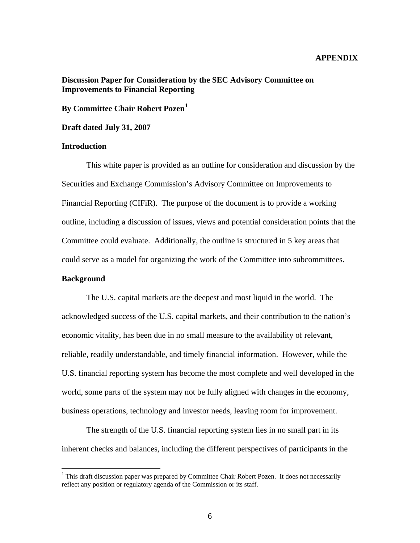## **APPENDIX**

# **Discussion Paper for Consideration by the SEC Advisory Committee on Improvements to Financial Reporting**

**By Committee Chair Robert Pozen[1](#page-5-0)**

**Draft dated July 31, 2007** 

### **Introduction**

This white paper is provided as an outline for consideration and discussion by the Securities and Exchange Commission's Advisory Committee on Improvements to Financial Reporting (CIFiR). The purpose of the document is to provide a working outline, including a discussion of issues, views and potential consideration points that the Committee could evaluate. Additionally, the outline is structured in 5 key areas that could serve as a model for organizing the work of the Committee into subcommittees.

## **Background**

 $\overline{a}$ 

The U.S. capital markets are the deepest and most liquid in the world. The acknowledged success of the U.S. capital markets, and their contribution to the nation's economic vitality, has been due in no small measure to the availability of relevant, reliable, readily understandable, and timely financial information. However, while the U.S. financial reporting system has become the most complete and well developed in the world, some parts of the system may not be fully aligned with changes in the economy, business operations, technology and investor needs, leaving room for improvement.

The strength of the U.S. financial reporting system lies in no small part in its inherent checks and balances, including the different perspectives of participants in the

<span id="page-5-0"></span><sup>&</sup>lt;sup>1</sup> This draft discussion paper was prepared by Committee Chair Robert Pozen. It does not necessarily reflect any position or regulatory agenda of the Commission or its staff.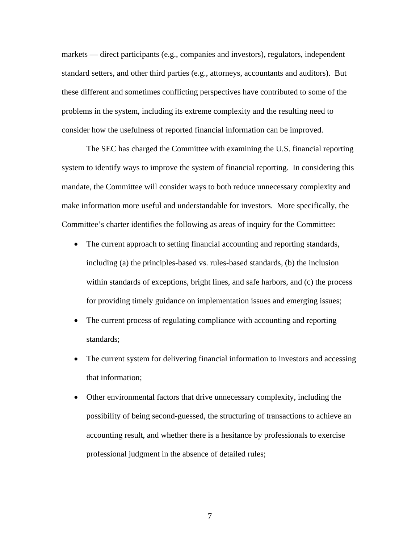markets — direct participants (e.g., companies and investors), regulators, independent standard setters, and other third parties (e.g., attorneys, accountants and auditors). But these different and sometimes conflicting perspectives have contributed to some of the problems in the system, including its extreme complexity and the resulting need to consider how the usefulness of reported financial information can be improved.

The SEC has charged the Committee with examining the U.S. financial reporting system to identify ways to improve the system of financial reporting. In considering this mandate, the Committee will consider ways to both reduce unnecessary complexity and make information more useful and understandable for investors. More specifically, the Committee's charter identifies the following as areas of inquiry for the Committee:

- The current approach to setting financial accounting and reporting standards, including (a) the principles-based vs. rules-based standards, (b) the inclusion within standards of exceptions, bright lines, and safe harbors, and (c) the process for providing timely guidance on implementation issues and emerging issues;
- The current process of regulating compliance with accounting and reporting standards;
- The current system for delivering financial information to investors and accessing that information;
- Other environmental factors that drive unnecessary complexity, including the possibility of being second-guessed, the structuring of transactions to achieve an accounting result, and whether there is a hesitance by professionals to exercise professional judgment in the absence of detailed rules;

7

 $\overline{a}$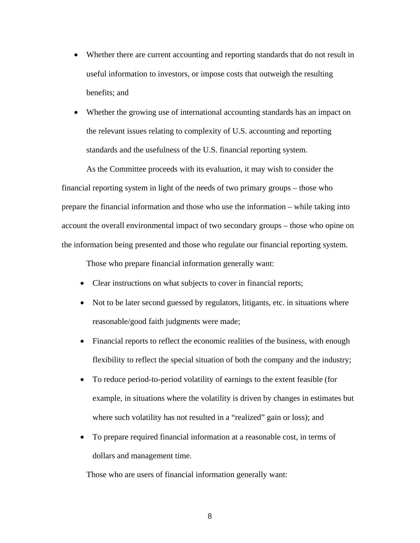- Whether there are current accounting and reporting standards that do not result in useful information to investors, or impose costs that outweigh the resulting benefits; and
- Whether the growing use of international accounting standards has an impact on the relevant issues relating to complexity of U.S. accounting and reporting standards and the usefulness of the U.S. financial reporting system.

As the Committee proceeds with its evaluation, it may wish to consider the financial reporting system in light of the needs of two primary groups – those who prepare the financial information and those who use the information – while taking into account the overall environmental impact of two secondary groups – those who opine on the information being presented and those who regulate our financial reporting system.

Those who prepare financial information generally want:

- Clear instructions on what subjects to cover in financial reports;
- Not to be later second guessed by regulators, litigants, etc. in situations where reasonable/good faith judgments were made;
- Financial reports to reflect the economic realities of the business, with enough flexibility to reflect the special situation of both the company and the industry;
- To reduce period-to-period volatility of earnings to the extent feasible (for example, in situations where the volatility is driven by changes in estimates but where such volatility has not resulted in a "realized" gain or loss); and
- To prepare required financial information at a reasonable cost, in terms of dollars and management time.

Those who are users of financial information generally want: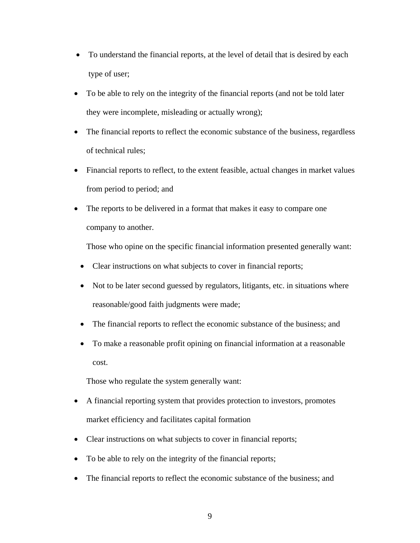- To understand the financial reports, at the level of detail that is desired by each type of user;
- To be able to rely on the integrity of the financial reports (and not be told later they were incomplete, misleading or actually wrong);
- The financial reports to reflect the economic substance of the business, regardless of technical rules;
- Financial reports to reflect, to the extent feasible, actual changes in market values from period to period; and
- The reports to be delivered in a format that makes it easy to compare one company to another.

Those who opine on the specific financial information presented generally want:

- Clear instructions on what subjects to cover in financial reports;
- Not to be later second guessed by regulators, litigants, etc. in situations where reasonable/good faith judgments were made;
- The financial reports to reflect the economic substance of the business; and
- To make a reasonable profit opining on financial information at a reasonable cost.

Those who regulate the system generally want:

- A financial reporting system that provides protection to investors, promotes market efficiency and facilitates capital formation
- Clear instructions on what subjects to cover in financial reports;
- To be able to rely on the integrity of the financial reports;
- The financial reports to reflect the economic substance of the business; and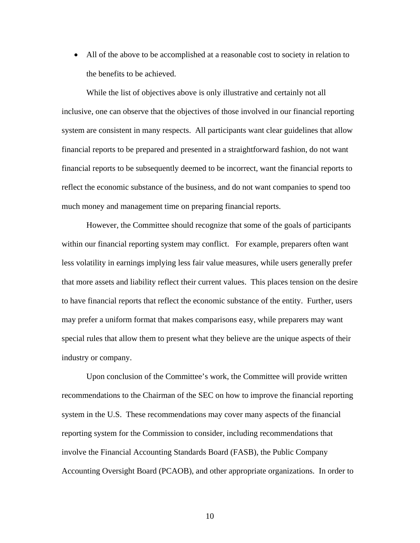• All of the above to be accomplished at a reasonable cost to society in relation to the benefits to be achieved.

While the list of objectives above is only illustrative and certainly not all inclusive, one can observe that the objectives of those involved in our financial reporting system are consistent in many respects. All participants want clear guidelines that allow financial reports to be prepared and presented in a straightforward fashion, do not want financial reports to be subsequently deemed to be incorrect, want the financial reports to reflect the economic substance of the business, and do not want companies to spend too much money and management time on preparing financial reports.

 However, the Committee should recognize that some of the goals of participants within our financial reporting system may conflict. For example, preparers often want less volatility in earnings implying less fair value measures, while users generally prefer that more assets and liability reflect their current values. This places tension on the desire to have financial reports that reflect the economic substance of the entity. Further, users may prefer a uniform format that makes comparisons easy, while preparers may want special rules that allow them to present what they believe are the unique aspects of their industry or company.

Upon conclusion of the Committee's work, the Committee will provide written recommendations to the Chairman of the SEC on how to improve the financial reporting system in the U.S. These recommendations may cover many aspects of the financial reporting system for the Commission to consider, including recommendations that involve the Financial Accounting Standards Board (FASB), the Public Company Accounting Oversight Board (PCAOB), and other appropriate organizations. In order to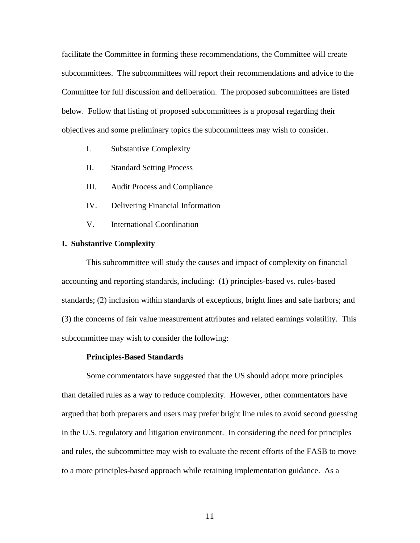facilitate the Committee in forming these recommendations, the Committee will create subcommittees. The subcommittees will report their recommendations and advice to the Committee for full discussion and deliberation. The proposed subcommittees are listed below. Follow that listing of proposed subcommittees is a proposal regarding their objectives and some preliminary topics the subcommittees may wish to consider.

- I. Substantive Complexity
- II. Standard Setting Process
- III. Audit Process and Compliance
- IV. Delivering Financial Information
- V. International Coordination

### **I. Substantive Complexity**

This subcommittee will study the causes and impact of complexity on financial accounting and reporting standards, including: (1) principles-based vs. rules-based standards; (2) inclusion within standards of exceptions, bright lines and safe harbors; and (3) the concerns of fair value measurement attributes and related earnings volatility. This subcommittee may wish to consider the following:

#### **Principles-Based Standards**

Some commentators have suggested that the US should adopt more principles than detailed rules as a way to reduce complexity. However, other commentators have argued that both preparers and users may prefer bright line rules to avoid second guessing in the U.S. regulatory and litigation environment. In considering the need for principles and rules, the subcommittee may wish to evaluate the recent efforts of the FASB to move to a more principles-based approach while retaining implementation guidance. As a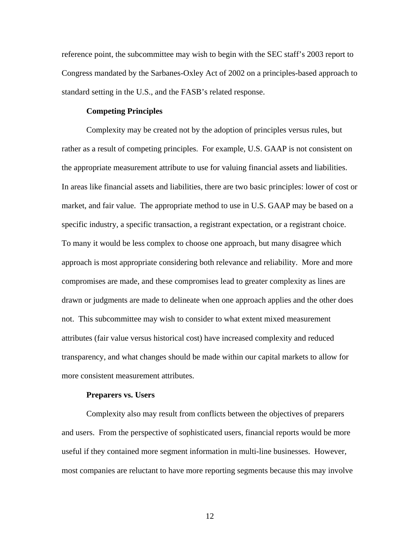reference point, the subcommittee may wish to begin with the SEC staff's 2003 report to Congress mandated by the Sarbanes-Oxley Act of 2002 on a principles-based approach to standard setting in the U.S., and the FASB's related response.

## **Competing Principles**

Complexity may be created not by the adoption of principles versus rules, but rather as a result of competing principles. For example, U.S. GAAP is not consistent on the appropriate measurement attribute to use for valuing financial assets and liabilities. In areas like financial assets and liabilities, there are two basic principles: lower of cost or market, and fair value. The appropriate method to use in U.S. GAAP may be based on a specific industry, a specific transaction, a registrant expectation, or a registrant choice. To many it would be less complex to choose one approach, but many disagree which approach is most appropriate considering both relevance and reliability. More and more compromises are made, and these compromises lead to greater complexity as lines are drawn or judgments are made to delineate when one approach applies and the other does not. This subcommittee may wish to consider to what extent mixed measurement attributes (fair value versus historical cost) have increased complexity and reduced transparency, and what changes should be made within our capital markets to allow for more consistent measurement attributes.

#### **Preparers vs. Users**

Complexity also may result from conflicts between the objectives of preparers and users. From the perspective of sophisticated users, financial reports would be more useful if they contained more segment information in multi-line businesses. However, most companies are reluctant to have more reporting segments because this may involve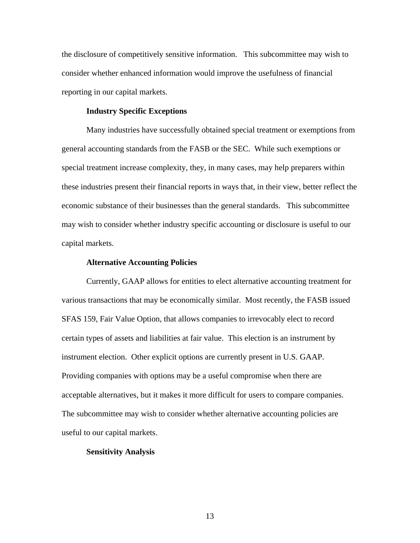the disclosure of competitively sensitive information. This subcommittee may wish to consider whether enhanced information would improve the usefulness of financial reporting in our capital markets.

## **Industry Specific Exceptions**

Many industries have successfully obtained special treatment or exemptions from general accounting standards from the FASB or the SEC. While such exemptions or special treatment increase complexity, they, in many cases, may help preparers within these industries present their financial reports in ways that, in their view, better reflect the economic substance of their businesses than the general standards. This subcommittee may wish to consider whether industry specific accounting or disclosure is useful to our capital markets.

#### **Alternative Accounting Policies**

Currently, GAAP allows for entities to elect alternative accounting treatment for various transactions that may be economically similar. Most recently, the FASB issued SFAS 159, Fair Value Option, that allows companies to irrevocably elect to record certain types of assets and liabilities at fair value. This election is an instrument by instrument election. Other explicit options are currently present in U.S. GAAP. Providing companies with options may be a useful compromise when there are acceptable alternatives, but it makes it more difficult for users to compare companies. The subcommittee may wish to consider whether alternative accounting policies are useful to our capital markets.

### **Sensitivity Analysis**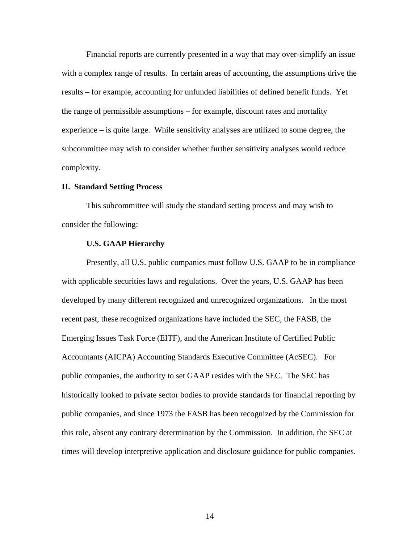Financial reports are currently presented in a way that may over-simplify an issue with a complex range of results. In certain areas of accounting, the assumptions drive the results – for example, accounting for unfunded liabilities of defined benefit funds. Yet the range of permissible assumptions – for example, discount rates and mortality experience – is quite large. While sensitivity analyses are utilized to some degree, the subcommittee may wish to consider whether further sensitivity analyses would reduce complexity.

### **II. Standard Setting Process**

This subcommittee will study the standard setting process and may wish to consider the following:

## **U.S. GAAP Hierarchy**

Presently, all U.S. public companies must follow U.S. GAAP to be in compliance with applicable securities laws and regulations. Over the years, U.S. GAAP has been developed by many different recognized and unrecognized organizations. In the most recent past, these recognized organizations have included the SEC, the FASB, the Emerging Issues Task Force (EITF), and the American Institute of Certified Public Accountants (AICPA) Accounting Standards Executive Committee (AcSEC). For public companies, the authority to set GAAP resides with the SEC. The SEC has historically looked to private sector bodies to provide standards for financial reporting by public companies, and since 1973 the FASB has been recognized by the Commission for this role, absent any contrary determination by the Commission. In addition, the SEC at times will develop interpretive application and disclosure guidance for public companies.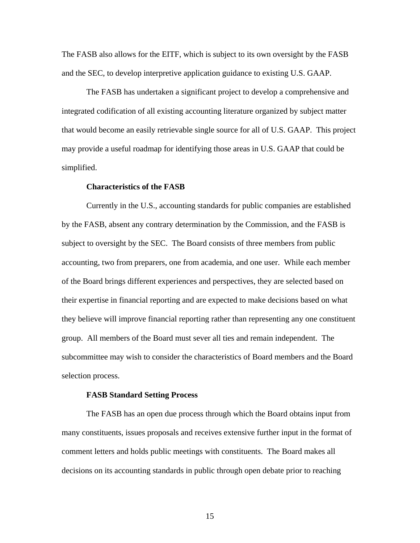The FASB also allows for the EITF, which is subject to its own oversight by the FASB and the SEC, to develop interpretive application guidance to existing U.S. GAAP.

The FASB has undertaken a significant project to develop a comprehensive and integrated codification of all existing accounting literature organized by subject matter that would become an easily retrievable single source for all of U.S. GAAP. This project may provide a useful roadmap for identifying those areas in U.S. GAAP that could be simplified.

### **Characteristics of the FASB**

Currently in the U.S., accounting standards for public companies are established by the FASB, absent any contrary determination by the Commission, and the FASB is subject to oversight by the SEC. The Board consists of three members from public accounting, two from preparers, one from academia, and one user. While each member of the Board brings different experiences and perspectives, they are selected based on their expertise in financial reporting and are expected to make decisions based on what they believe will improve financial reporting rather than representing any one constituent group. All members of the Board must sever all ties and remain independent. The subcommittee may wish to consider the characteristics of Board members and the Board selection process.

#### **FASB Standard Setting Process**

The FASB has an open due process through which the Board obtains input from many constituents, issues proposals and receives extensive further input in the format of comment letters and holds public meetings with constituents. The Board makes all decisions on its accounting standards in public through open debate prior to reaching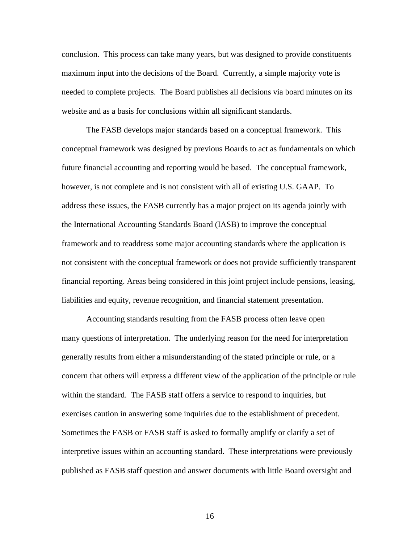conclusion. This process can take many years, but was designed to provide constituents maximum input into the decisions of the Board. Currently, a simple majority vote is needed to complete projects. The Board publishes all decisions via board minutes on its website and as a basis for conclusions within all significant standards.

The FASB develops major standards based on a conceptual framework. This conceptual framework was designed by previous Boards to act as fundamentals on which future financial accounting and reporting would be based. The conceptual framework, however, is not complete and is not consistent with all of existing U.S. GAAP. To address these issues, the FASB currently has a major project on its agenda jointly with the International Accounting Standards Board (IASB) to improve the conceptual framework and to readdress some major accounting standards where the application is not consistent with the conceptual framework or does not provide sufficiently transparent financial reporting. Areas being considered in this joint project include pensions, leasing, liabilities and equity, revenue recognition, and financial statement presentation.

Accounting standards resulting from the FASB process often leave open many questions of interpretation. The underlying reason for the need for interpretation generally results from either a misunderstanding of the stated principle or rule, or a concern that others will express a different view of the application of the principle or rule within the standard. The FASB staff offers a service to respond to inquiries, but exercises caution in answering some inquiries due to the establishment of precedent. Sometimes the FASB or FASB staff is asked to formally amplify or clarify a set of interpretive issues within an accounting standard. These interpretations were previously published as FASB staff question and answer documents with little Board oversight and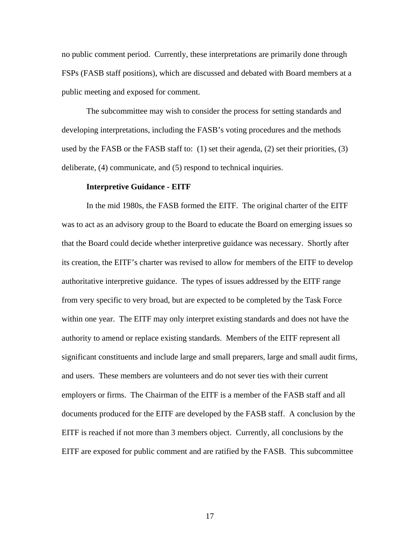no public comment period. Currently, these interpretations are primarily done through FSPs (FASB staff positions), which are discussed and debated with Board members at a public meeting and exposed for comment.

The subcommittee may wish to consider the process for setting standards and developing interpretations, including the FASB's voting procedures and the methods used by the FASB or the FASB staff to: (1) set their agenda, (2) set their priorities, (3) deliberate, (4) communicate, and (5) respond to technical inquiries.

#### **Interpretive Guidance - EITF**

In the mid 1980s, the FASB formed the EITF. The original charter of the EITF was to act as an advisory group to the Board to educate the Board on emerging issues so that the Board could decide whether interpretive guidance was necessary. Shortly after its creation, the EITF's charter was revised to allow for members of the EITF to develop authoritative interpretive guidance. The types of issues addressed by the EITF range from very specific to very broad, but are expected to be completed by the Task Force within one year. The EITF may only interpret existing standards and does not have the authority to amend or replace existing standards. Members of the EITF represent all significant constituents and include large and small preparers, large and small audit firms, and users. These members are volunteers and do not sever ties with their current employers or firms. The Chairman of the EITF is a member of the FASB staff and all documents produced for the EITF are developed by the FASB staff. A conclusion by the EITF is reached if not more than 3 members object. Currently, all conclusions by the EITF are exposed for public comment and are ratified by the FASB. This subcommittee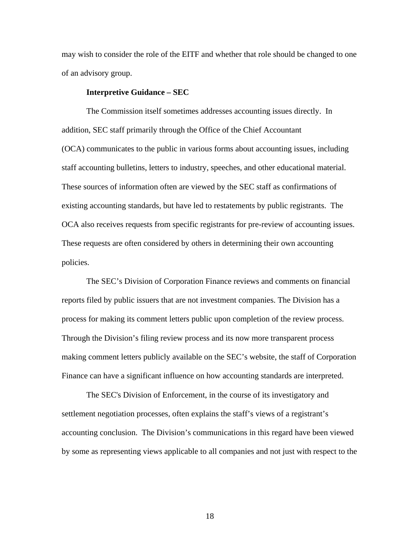may wish to consider the role of the EITF and whether that role should be changed to one of an advisory group.

## **Interpretive Guidance – SEC**

The Commission itself sometimes addresses accounting issues directly. In addition, SEC staff primarily through the Office of the Chief Accountant (OCA) communicates to the public in various forms about accounting issues, including staff accounting bulletins, letters to industry, speeches, and other educational material. These sources of information often are viewed by the SEC staff as confirmations of existing accounting standards, but have led to restatements by public registrants. The OCA also receives requests from specific registrants for pre-review of accounting issues. These requests are often considered by others in determining their own accounting policies.

The SEC's Division of Corporation Finance reviews and comments on financial reports filed by public issuers that are not investment companies. The Division has a process for making its comment letters public upon completion of the review process. Through the Division's filing review process and its now more transparent process making comment letters publicly available on the SEC's website, the staff of Corporation Finance can have a significant influence on how accounting standards are interpreted.

The SEC's Division of Enforcement, in the course of its investigatory and settlement negotiation processes, often explains the staff's views of a registrant's accounting conclusion. The Division's communications in this regard have been viewed by some as representing views applicable to all companies and not just with respect to the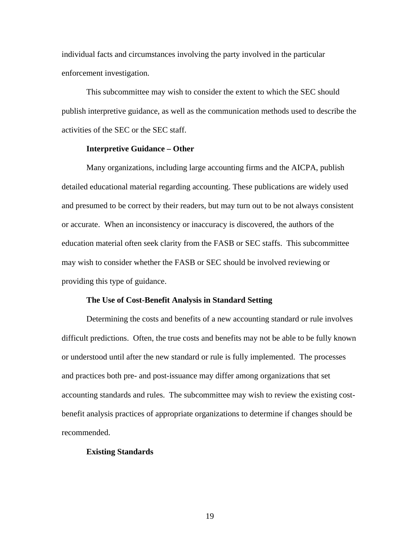individual facts and circumstances involving the party involved in the particular enforcement investigation.

This subcommittee may wish to consider the extent to which the SEC should publish interpretive guidance, as well as the communication methods used to describe the activities of the SEC or the SEC staff.

## **Interpretive Guidance – Other**

Many organizations, including large accounting firms and the AICPA, publish detailed educational material regarding accounting. These publications are widely used and presumed to be correct by their readers, but may turn out to be not always consistent or accurate. When an inconsistency or inaccuracy is discovered, the authors of the education material often seek clarity from the FASB or SEC staffs. This subcommittee may wish to consider whether the FASB or SEC should be involved reviewing or providing this type of guidance.

#### **The Use of Cost-Benefit Analysis in Standard Setting**

Determining the costs and benefits of a new accounting standard or rule involves difficult predictions. Often, the true costs and benefits may not be able to be fully known or understood until after the new standard or rule is fully implemented. The processes and practices both pre- and post-issuance may differ among organizations that set accounting standards and rules. The subcommittee may wish to review the existing costbenefit analysis practices of appropriate organizations to determine if changes should be recommended.

### **Existing Standards**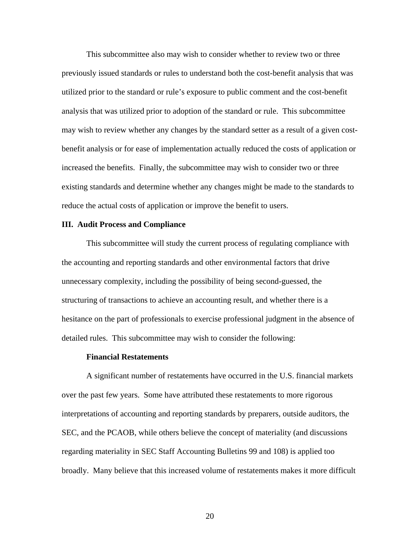This subcommittee also may wish to consider whether to review two or three previously issued standards or rules to understand both the cost-benefit analysis that was utilized prior to the standard or rule's exposure to public comment and the cost-benefit analysis that was utilized prior to adoption of the standard or rule. This subcommittee may wish to review whether any changes by the standard setter as a result of a given costbenefit analysis or for ease of implementation actually reduced the costs of application or increased the benefits. Finally, the subcommittee may wish to consider two or three existing standards and determine whether any changes might be made to the standards to reduce the actual costs of application or improve the benefit to users.

### **III. Audit Process and Compliance**

This subcommittee will study the current process of regulating compliance with the accounting and reporting standards and other environmental factors that drive unnecessary complexity, including the possibility of being second-guessed, the structuring of transactions to achieve an accounting result, and whether there is a hesitance on the part of professionals to exercise professional judgment in the absence of detailed rules. This subcommittee may wish to consider the following:

### **Financial Restatements**

A significant number of restatements have occurred in the U.S. financial markets over the past few years. Some have attributed these restatements to more rigorous interpretations of accounting and reporting standards by preparers, outside auditors, the SEC, and the PCAOB, while others believe the concept of materiality (and discussions regarding materiality in SEC Staff Accounting Bulletins 99 and 108) is applied too broadly. Many believe that this increased volume of restatements makes it more difficult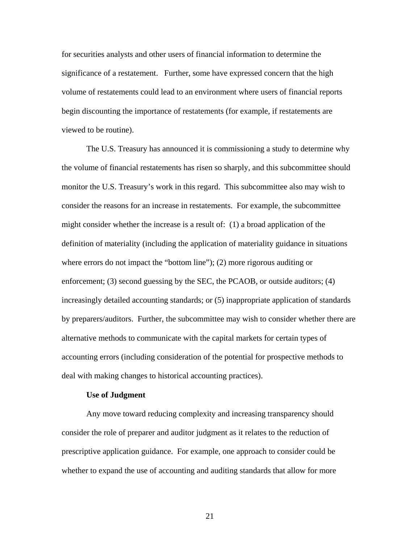for securities analysts and other users of financial information to determine the significance of a restatement. Further, some have expressed concern that the high volume of restatements could lead to an environment where users of financial reports begin discounting the importance of restatements (for example, if restatements are viewed to be routine).

The U.S. Treasury has announced it is commissioning a study to determine why the volume of financial restatements has risen so sharply, and this subcommittee should monitor the U.S. Treasury's work in this regard. This subcommittee also may wish to consider the reasons for an increase in restatements. For example, the subcommittee might consider whether the increase is a result of: (1) a broad application of the definition of materiality (including the application of materiality guidance in situations where errors do not impact the "bottom line"); (2) more rigorous auditing or enforcement; (3) second guessing by the SEC, the PCAOB, or outside auditors; (4) increasingly detailed accounting standards; or (5) inappropriate application of standards by preparers/auditors. Further, the subcommittee may wish to consider whether there are alternative methods to communicate with the capital markets for certain types of accounting errors (including consideration of the potential for prospective methods to deal with making changes to historical accounting practices).

#### **Use of Judgment**

Any move toward reducing complexity and increasing transparency should consider the role of preparer and auditor judgment as it relates to the reduction of prescriptive application guidance. For example, one approach to consider could be whether to expand the use of accounting and auditing standards that allow for more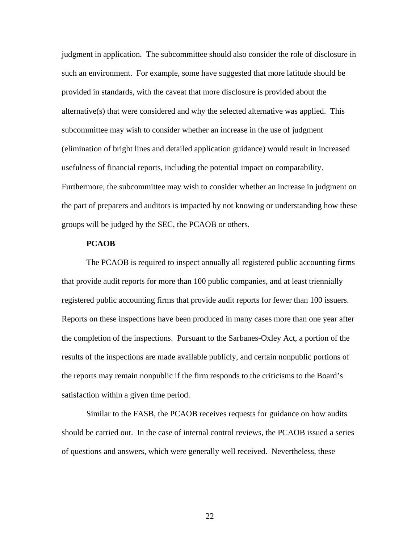judgment in application. The subcommittee should also consider the role of disclosure in such an environment. For example, some have suggested that more latitude should be provided in standards, with the caveat that more disclosure is provided about the alternative(s) that were considered and why the selected alternative was applied. This subcommittee may wish to consider whether an increase in the use of judgment (elimination of bright lines and detailed application guidance) would result in increased usefulness of financial reports, including the potential impact on comparability. Furthermore, the subcommittee may wish to consider whether an increase in judgment on the part of preparers and auditors is impacted by not knowing or understanding how these groups will be judged by the SEC, the PCAOB or others.

## **PCAOB**

The PCAOB is required to inspect annually all registered public accounting firms that provide audit reports for more than 100 public companies, and at least triennially registered public accounting firms that provide audit reports for fewer than 100 issuers. Reports on these inspections have been produced in many cases more than one year after the completion of the inspections. Pursuant to the Sarbanes-Oxley Act, a portion of the results of the inspections are made available publicly, and certain nonpublic portions of the reports may remain nonpublic if the firm responds to the criticisms to the Board's satisfaction within a given time period.

Similar to the FASB, the PCAOB receives requests for guidance on how audits should be carried out. In the case of internal control reviews, the PCAOB issued a series of questions and answers, which were generally well received. Nevertheless, these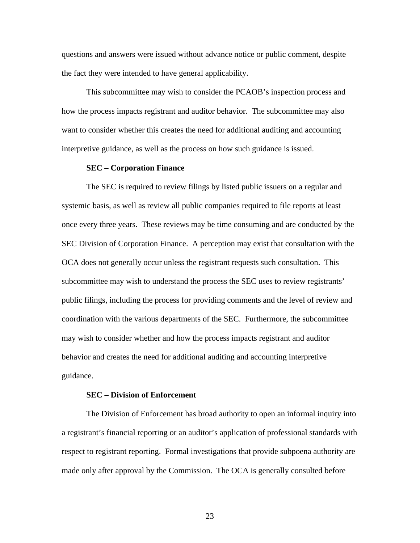questions and answers were issued without advance notice or public comment, despite the fact they were intended to have general applicability.

This subcommittee may wish to consider the PCAOB's inspection process and how the process impacts registrant and auditor behavior. The subcommittee may also want to consider whether this creates the need for additional auditing and accounting interpretive guidance, as well as the process on how such guidance is issued.

### **SEC – Corporation Finance**

The SEC is required to review filings by listed public issuers on a regular and systemic basis, as well as review all public companies required to file reports at least once every three years. These reviews may be time consuming and are conducted by the SEC Division of Corporation Finance. A perception may exist that consultation with the OCA does not generally occur unless the registrant requests such consultation. This subcommittee may wish to understand the process the SEC uses to review registrants' public filings, including the process for providing comments and the level of review and coordination with the various departments of the SEC. Furthermore, the subcommittee may wish to consider whether and how the process impacts registrant and auditor behavior and creates the need for additional auditing and accounting interpretive guidance.

### **SEC – Division of Enforcement**

The Division of Enforcement has broad authority to open an informal inquiry into a registrant's financial reporting or an auditor's application of professional standards with respect to registrant reporting. Formal investigations that provide subpoena authority are made only after approval by the Commission. The OCA is generally consulted before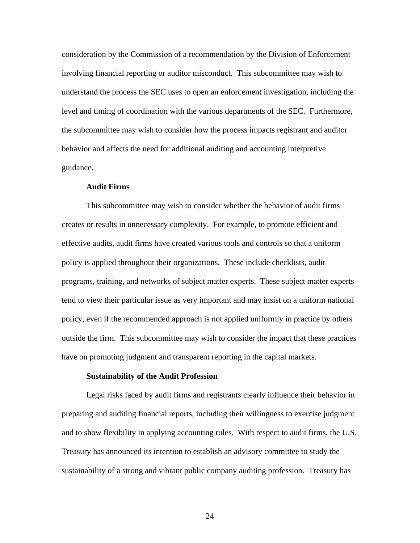consideration by the Commission of a recommendation by the Division of Enforcement involving financial reporting or auditor misconduct. This subcommittee may wish to understand the process the SEC uses to open an enforcement investigation, including the level and timing of coordination with the various departments of the SEC. Furthermore, the subcommittee may wish to consider how the process impacts registrant and auditor behavior and affects the need for additional auditing and accounting interpretive guidance.

## **Audit Firms**

This subcommittee may wish to consider whether the behavior of audit firms creates or results in unnecessary complexity. For example, to promote efficient and effective audits, audit firms have created various tools and controls so that a uniform policy is applied throughout their organizations. These include checklists, audit programs, training, and networks of subject matter experts. These subject matter experts tend to view their particular issue as very important and may insist on a uniform national policy, even if the recommended approach is not applied uniformly in practice by others outside the firm. This subcommittee may wish to consider the impact that these practices have on promoting judgment and transparent reporting in the capital markets.

#### **Sustainability of the Audit Profession**

Legal risks faced by audit firms and registrants clearly influence their behavior in preparing and auditing financial reports, including their willingness to exercise judgment and to show flexibility in applying accounting rules. With respect to audit firms, the U.S. Treasury has announced its intention to establish an advisory committee to study the sustainability of a strong and vibrant public company auditing profession. Treasury has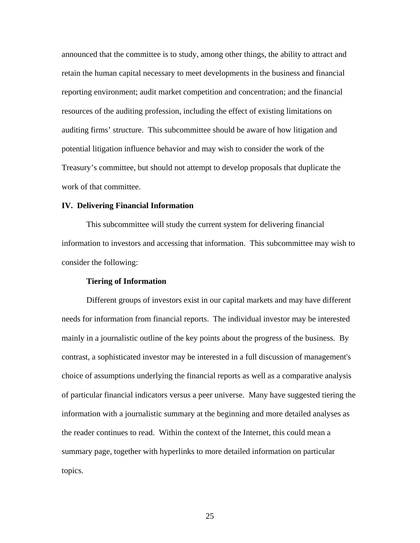announced that the committee is to study, among other things, the ability to attract and retain the human capital necessary to meet developments in the business and financial reporting environment; audit market competition and concentration; and the financial resources of the auditing profession, including the effect of existing limitations on auditing firms' structure. This subcommittee should be aware of how litigation and potential litigation influence behavior and may wish to consider the work of the Treasury's committee, but should not attempt to develop proposals that duplicate the work of that committee.

## **IV. Delivering Financial Information**

This subcommittee will study the current system for delivering financial information to investors and accessing that information. This subcommittee may wish to consider the following:

## **Tiering of Information**

Different groups of investors exist in our capital markets and may have different needs for information from financial reports. The individual investor may be interested mainly in a journalistic outline of the key points about the progress of the business. By contrast, a sophisticated investor may be interested in a full discussion of management's choice of assumptions underlying the financial reports as well as a comparative analysis of particular financial indicators versus a peer universe. Many have suggested tiering the information with a journalistic summary at the beginning and more detailed analyses as the reader continues to read. Within the context of the Internet, this could mean a summary page, together with hyperlinks to more detailed information on particular topics.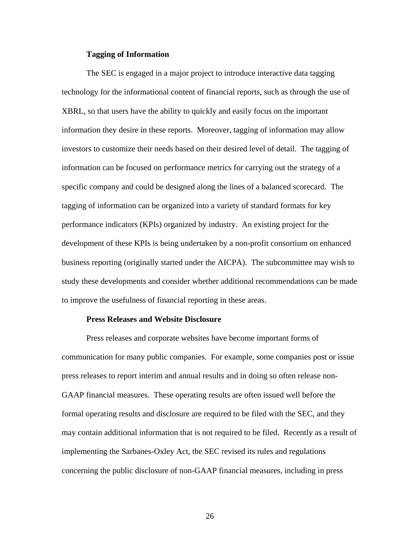### **Tagging of Information**

The SEC is engaged in a major project to introduce interactive data tagging technology for the informational content of financial reports, such as through the use of XBRL, so that users have the ability to quickly and easily focus on the important information they desire in these reports. Moreover, tagging of information may allow investors to customize their needs based on their desired level of detail. The tagging of information can be focused on performance metrics for carrying out the strategy of a specific company and could be designed along the lines of a balanced scorecard. The tagging of information can be organized into a variety of standard formats for key performance indicators (KPIs) organized by industry. An existing project for the development of these KPIs is being undertaken by a non-profit consortium on enhanced business reporting (originally started under the AICPA). The subcommittee may wish to study these developments and consider whether additional recommendations can be made to improve the usefulness of financial reporting in these areas.

### **Press Releases and Website Disclosure**

Press releases and corporate websites have become important forms of communication for many public companies. For example, some companies post or issue press releases to report interim and annual results and in doing so often release non-GAAP financial measures. These operating results are often issued well before the formal operating results and disclosure are required to be filed with the SEC, and they may contain additional information that is not required to be filed. Recently as a result of implementing the Sarbanes-Oxley Act, the SEC revised its rules and regulations concerning the public disclosure of non-GAAP financial measures, including in press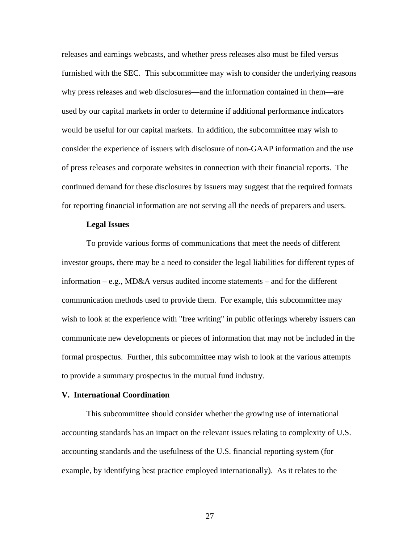releases and earnings webcasts, and whether press releases also must be filed versus furnished with the SEC. This subcommittee may wish to consider the underlying reasons why press releases and web disclosures—and the information contained in them—are used by our capital markets in order to determine if additional performance indicators would be useful for our capital markets. In addition, the subcommittee may wish to consider the experience of issuers with disclosure of non-GAAP information and the use of press releases and corporate websites in connection with their financial reports. The continued demand for these disclosures by issuers may suggest that the required formats for reporting financial information are not serving all the needs of preparers and users.

### **Legal Issues**

To provide various forms of communications that meet the needs of different investor groups, there may be a need to consider the legal liabilities for different types of information – e.g., MD&A versus audited income statements – and for the different communication methods used to provide them. For example, this subcommittee may wish to look at the experience with "free writing" in public offerings whereby issuers can communicate new developments or pieces of information that may not be included in the formal prospectus. Further, this subcommittee may wish to look at the various attempts to provide a summary prospectus in the mutual fund industry.

# **V. International Coordination**

This subcommittee should consider whether the growing use of international accounting standards has an impact on the relevant issues relating to complexity of U.S. accounting standards and the usefulness of the U.S. financial reporting system (for example, by identifying best practice employed internationally). As it relates to the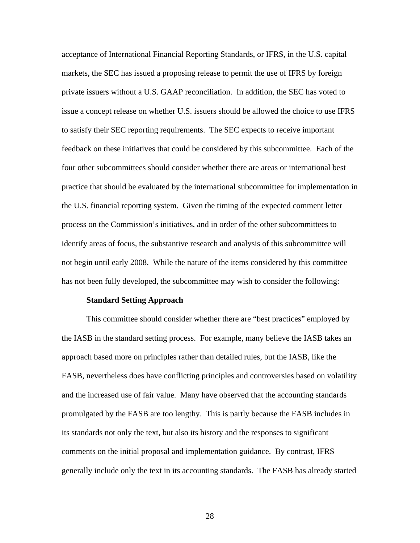acceptance of International Financial Reporting Standards, or IFRS, in the U.S. capital markets, the SEC has issued a proposing release to permit the use of IFRS by foreign private issuers without a U.S. GAAP reconciliation. In addition, the SEC has voted to issue a concept release on whether U.S. issuers should be allowed the choice to use IFRS to satisfy their SEC reporting requirements. The SEC expects to receive important feedback on these initiatives that could be considered by this subcommittee. Each of the four other subcommittees should consider whether there are areas or international best practice that should be evaluated by the international subcommittee for implementation in the U.S. financial reporting system. Given the timing of the expected comment letter process on the Commission's initiatives, and in order of the other subcommittees to identify areas of focus, the substantive research and analysis of this subcommittee will not begin until early 2008. While the nature of the items considered by this committee has not been fully developed, the subcommittee may wish to consider the following:

#### **Standard Setting Approach**

This committee should consider whether there are "best practices" employed by the IASB in the standard setting process. For example, many believe the IASB takes an approach based more on principles rather than detailed rules, but the IASB, like the FASB, nevertheless does have conflicting principles and controversies based on volatility and the increased use of fair value. Many have observed that the accounting standards promulgated by the FASB are too lengthy. This is partly because the FASB includes in its standards not only the text, but also its history and the responses to significant comments on the initial proposal and implementation guidance. By contrast, IFRS generally include only the text in its accounting standards. The FASB has already started